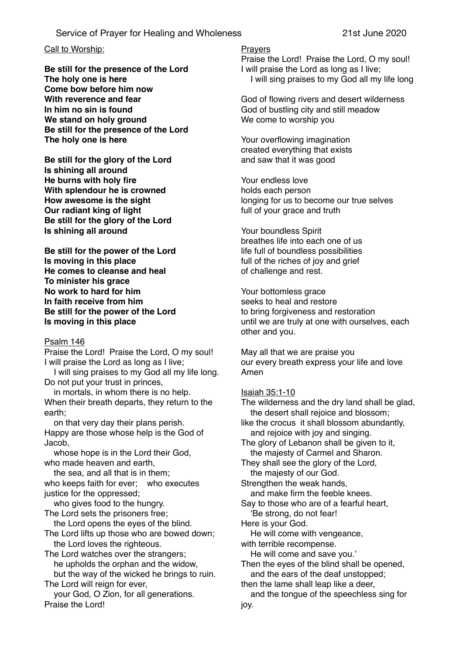# Service of Prayer for Healing and Wholeness 21st June 2020

## Call to Worship:

**Be still for the presence of the Lord The holy one is here Come bow before him now With reverence and fear In him no sin is found We stand on holy ground Be still for the presence of the Lord The holy one is here**

**Be still for the glory of the Lord Is shining all around He burns with holy fire With splendour he is crowned How awesome is the sight Our radiant king of light Be still for the glory of the Lord Is shining all around**

**Be still for the power of the Lord Is moving in this place He comes to cleanse and heal To minister his grace No work to hard for him In faith receive from him Be still for the power of the Lord Is moving in this place**

#### Psalm 146

Praise the Lord! Praise the Lord, O my soul! I will praise the Lord as long as I live;

 I will sing praises to my God all my life long. Do not put your trust in princes,

 in mortals, in whom there is no help. When their breath departs, they return to the earth;

 on that very day their plans perish. Happy are those whose help is the God of Jacob,

 whose hope is in the Lord their God, who made heaven and earth,

 the sea, and all that is in them; who keeps faith for ever; who executes justice for the oppressed;

 who gives food to the hungry. The Lord sets the prisoners free;

the Lord opens the eyes of the blind.

The Lord lifts up those who are bowed down; the Lord loves the righteous.

The Lord watches over the strangers; he upholds the orphan and the widow,

 but the way of the wicked he brings to ruin. The Lord will reign for ever.

 your God, O Zion, for all generations. Praise the Lord!

#### **Prayers**

Praise the Lord! Praise the Lord, O my soul! I will praise the Lord as long as I live; I will sing praises to my God all my life long

God of flowing rivers and desert wilderness God of bustling city and still meadow We come to worship you

Your overflowing imagination created everything that exists and saw that it was good

Your endless love holds each person longing for us to become our true selves full of your grace and truth

Your boundless Spirit breathes life into each one of us life full of boundless possibilities full of the riches of joy and grief of challenge and rest.

Your bottomless grace seeks to heal and restore to bring forgiveness and restoration until we are truly at one with ourselves, each other and you.

May all that we are praise you our every breath express your life and love Amen

## Isaiah 35:1-10

The wilderness and the dry land shall be glad, the desert shall rejoice and blossom; like the crocus it shall blossom abundantly,

and rejoice with joy and singing.

The glory of Lebanon shall be given to it, the majesty of Carmel and Sharon.

They shall see the glory of the Lord, the majesty of our God.

Strengthen the weak hands.

and make firm the feeble knees.

Say to those who are of a fearful heart, 'Be strong, do not fear!

Here is your God.

 He will come with vengeance, with terrible recompense.

He will come and save you.'

Then the eyes of the blind shall be opened, and the ears of the deaf unstopped;

then the lame shall leap like a deer,

 and the tongue of the speechless sing for joy.